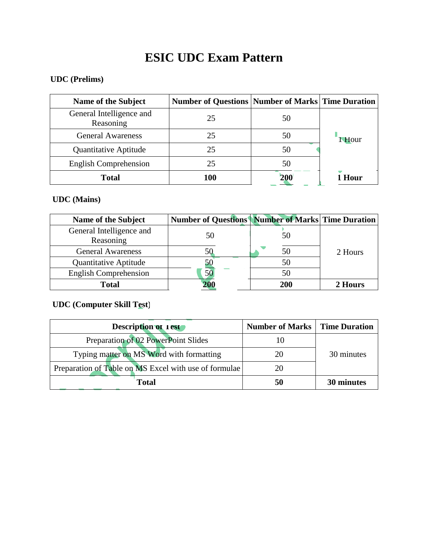# **ESIC UDC Exam Pattern**

## **UDC (Prelims)**

| Name of the Subject                   | <b>Number of Questions   Number of Marks   Time Duration  </b> |            |             |
|---------------------------------------|----------------------------------------------------------------|------------|-------------|
| General Intelligence and<br>Reasoning | 25                                                             | 50         |             |
| <b>General Awareness</b>              | 25                                                             | 50         | <b>Hour</b> |
| Quantitative Aptitude                 | 25                                                             | 50         |             |
| <b>English Comprehension</b>          | 25                                                             | 50         |             |
| <b>Total</b>                          | 100                                                            | <b>200</b> | Hour        |

### **UDC (Mains)**

| <b>Name of the Subject</b>            | <b>Number of Questions   Number of Marks   Time Duration  </b> |     |         |
|---------------------------------------|----------------------------------------------------------------|-----|---------|
| General Intelligence and<br>Reasoning | 50                                                             | 50  |         |
| <b>General Awareness</b>              | 50                                                             | 50  | 2 Hours |
| Quantitative Aptitude                 | 5C                                                             | 50  |         |
| <b>English Comprehension</b>          | 50                                                             | 50  |         |
| <b>Total</b>                          | 200                                                            | 200 | 2 Hours |

## **UDC (Computer Skill Test)**

| <b>Description of Test</b>                            | <b>Number of Marks   Time Duration</b> |            |
|-------------------------------------------------------|----------------------------------------|------------|
| Preparation of 02 PowerPoint Slides                   |                                        |            |
| Typing matter on MS Word with formatting              | 20                                     | 30 minutes |
| Preparation of Table on MS Excel with use of formulae | 20                                     |            |
| <b>Total</b>                                          | 50                                     | 30 minutes |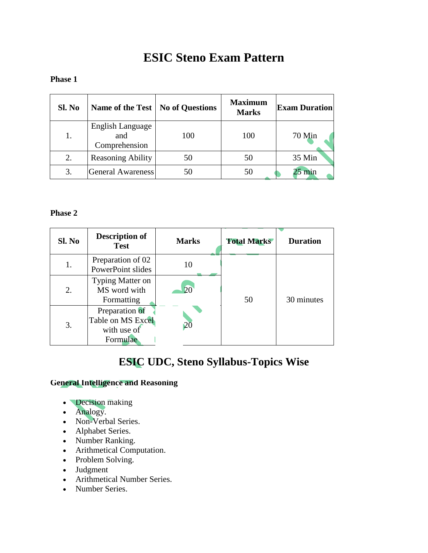## **ESIC Steno Exam Pattern**

#### **Phase 1**

| Sl. No | Name of the Test                         | <b>No of Questions</b> | <b>Maximum</b><br><b>Marks</b> | <b>Exam Duration</b> |
|--------|------------------------------------------|------------------------|--------------------------------|----------------------|
| 1.     | English Language<br>and<br>Comprehension | 100                    | 100                            | 70 Min               |
| 2.     | <b>Reasoning Ability</b>                 | 50                     | 50                             | 35 Min               |
| 3.     | General Awareness                        | 50                     | 50                             | min                  |

#### **Phase 2**

| Sl. No | <b>Description of</b><br><b>Test</b>                           | <b>Marks</b> | <b>Total Marks</b> | <b>Duration</b> |
|--------|----------------------------------------------------------------|--------------|--------------------|-----------------|
| 1.     | Preparation of 02<br>PowerPoint slides                         | 10           | 50                 | 30 minutes      |
| 2.     | Typing Matter on<br>MS word with<br>Formatting                 | 20           |                    |                 |
| 3.     | Preparation of<br>Table on MS Excel<br>with use of<br>Formulae | 20           |                    |                 |

## **ESIC UDC, Steno Syllabus-Topics Wise**

#### **General Intelligence and Reasoning**

- Decision making
- Analogy.
- Non-Verbal Series.
- Alphabet Series.
- Number Ranking.
- Arithmetical Computation.
- Problem Solving.
- Judgment
- Arithmetical Number Series.
- Number Series.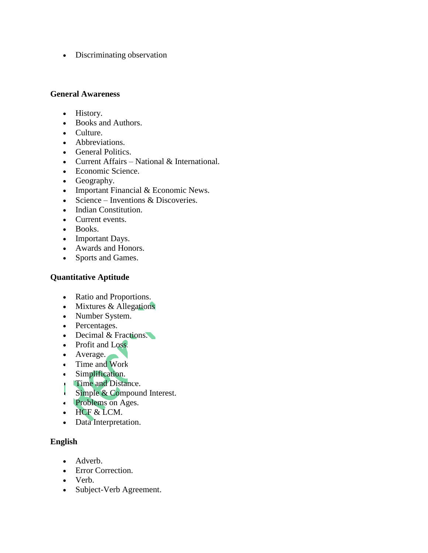• Discriminating observation

#### **General Awareness**

- History.
- Books and Authors.
- Culture.
- Abbreviations.
- General Politics.
- Current Affairs National & International.
- Economic Science.
- Geography.
- Important Financial  $&$  Economic News.
- Science Inventions  $&$  Discoveries.
- Indian Constitution.
- Current events.
- Books.
- Important Days.
- Awards and Honors.
- Sports and Games.

#### **Quantitative Aptitude**

- Ratio and Proportions.
- Mixtures & Allegations.
- Number System.
- Percentages.
- Decimal & Fractions.
- Profit and Loss.
- Average.
- Time and Work.
- Simplification.
- **Time and Distance.**
- Simple & Compound Interest.
- Problems on Ages.
- HCF & LCM.
- Data Interpretation.

#### **English**

- Adverb.
- **Error Correction.**
- Verb.
- Subject-Verb Agreement.